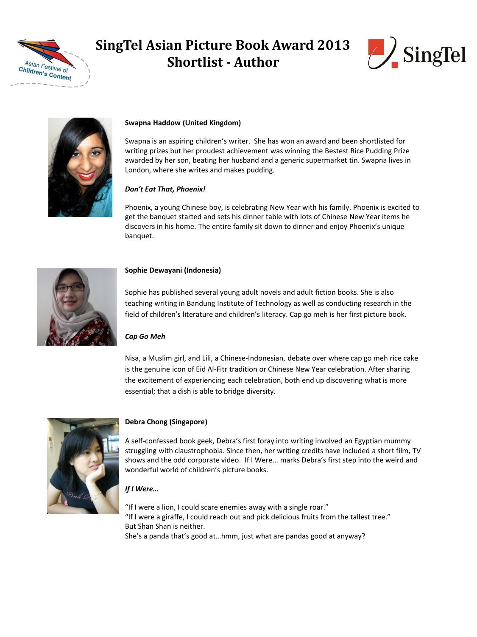

# **SingTel Asian Picture Book Award 2013 Shortlist - Author**





### **Swapna Haddow (United Kingdom)**

Swapna is an aspiring children's writer. She has won an award and been shortlisted for writing prizes but her proudest achievement was winning the Bestest Rice Pudding Prize awarded by her son, beating her husband and a generic supermarket tin. Swapna lives in London, where she writes and makes pudding.

#### *Don't Eat That, Phoenix!*

Phoenix, a young Chinese boy, is celebrating New Year with his family. Phoenix is excited to get the banquet started and sets his dinner table with lots of Chinese New Year items he discovers in his home. The entire family sit down to dinner and enjoy Phoenix's unique banquet.



#### **Sophie Dewayani (Indonesia)**

Sophie has published several young adult novels and adult fiction books. She is also teaching writing in Bandung Institute of Technology as well as conducting research in the field of children's literature and children's literacy. Cap go meh is her first picture book.

### *Cap Go Meh*

Nisa, a Muslim girl, and Lili, a Chinese-Indonesian, debate over where cap go meh rice cake is the genuine icon of Eid Al-Fitr tradition or Chinese New Year celebration. After sharing the excitement of experiencing each celebration, both end up discovering what is more essential; that a dish is able to bridge diversity.



### **Debra Chong (Singapore)**

A self-confessed book geek, Debra's first foray into writing involved an Egyptian mummy struggling with claustrophobia. Since then, her writing credits have included a short film, TV shows and the odd corporate video. If I Were... marks Debra's first step into the weird and wonderful world of children's picture books.

### *If I Were…*

"If I were a lion, I could scare enemies away with a single roar." "If I were a giraffe, I could reach out and pick delicious fruits from the tallest tree." But Shan Shan is neither. She's a panda that's good at…hmm, just what are pandas good at anyway?